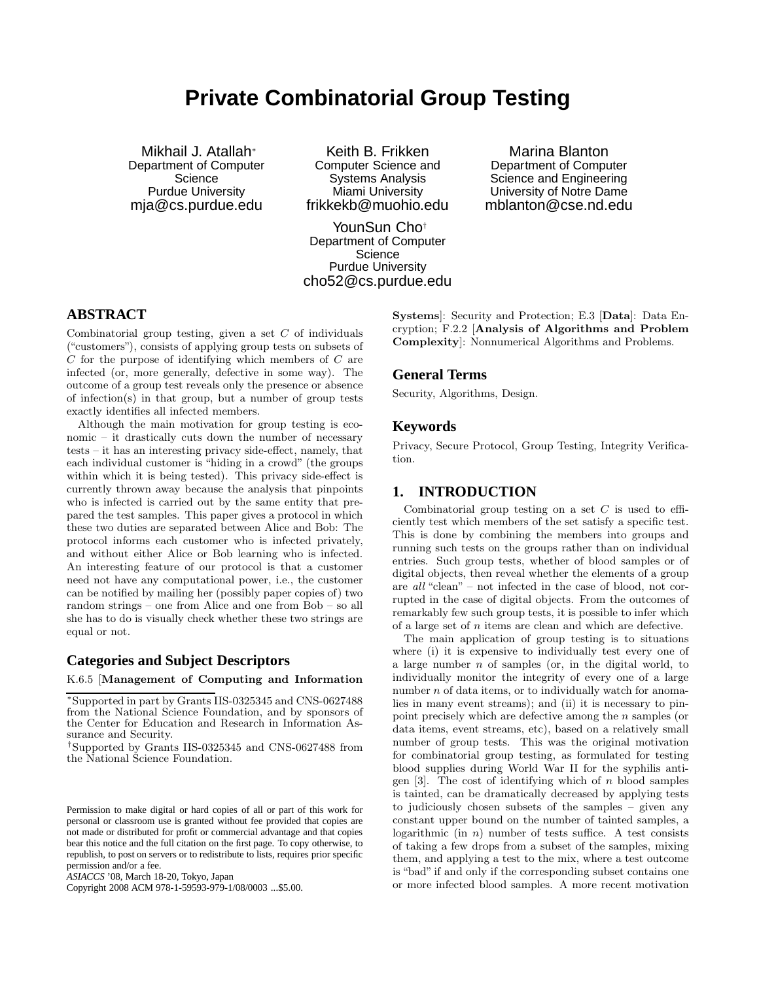# **Private Combinatorial Group Testing**

Mikhail J. Atallah<sup>∗</sup> Department of Computer Science Purdue University mja@cs.purdue.edu

Keith B. Frikken Computer Science and Systems Analysis Miami University frikkekb@muohio.edu

YounSun Cho<sup>†</sup> Department of Computer Science Purdue University cho52@cs.purdue.edu

Marina Blanton Department of Computer Science and Engineering University of Notre Dame mblanton@cse.nd.edu

# **ABSTRACT**

Combinatorial group testing, given a set  $C$  of individuals ("customers"), consists of applying group tests on subsets of  $C$  for the purpose of identifying which members of  $C$  are infected (or, more generally, defective in some way). The outcome of a group test reveals only the presence or absence of infection(s) in that group, but a number of group tests exactly identifies all infected members.

Although the main motivation for group testing is economic – it drastically cuts down the number of necessary tests – it has an interesting privacy side-effect, namely, that each individual customer is "hiding in a crowd" (the groups within which it is being tested). This privacy side-effect is currently thrown away because the analysis that pinpoints who is infected is carried out by the same entity that prepared the test samples. This paper gives a protocol in which these two duties are separated between Alice and Bob: The protocol informs each customer who is infected privately, and without either Alice or Bob learning who is infected. An interesting feature of our protocol is that a customer need not have any computational power, i.e., the customer can be notified by mailing her (possibly paper copies of) two random strings – one from Alice and one from Bob – so all she has to do is visually check whether these two strings are equal or not.

# **Categories and Subject Descriptors**

K.6.5 [Management of Computing and Information

† Supported by Grants IIS-0325345 and CNS-0627488 from the National Science Foundation.

Permission to make digital or hard copies of all or part of this work for personal or classroom use is granted without fee provided that copies are not made or distributed for profit or commercial advantage and that copies bear this notice and the full citation on the first page. To copy otherwise, to republish, to post on servers or to redistribute to lists, requires prior specific permission and/or a fee.

*ASIACCS* '08, March 18-20, Tokyo, Japan

Copyright 2008 ACM 978-1-59593-979-1/08/0003 ...\$5.00.

Systems]: Security and Protection; E.3 [Data]: Data Encryption; F.2.2 [Analysis of Algorithms and Problem Complexity]: Nonnumerical Algorithms and Problems.

# **General Terms**

Security, Algorithms, Design.

### **Keywords**

Privacy, Secure Protocol, Group Testing, Integrity Verification.

### **1. INTRODUCTION**

Combinatorial group testing on a set  $C$  is used to efficiently test which members of the set satisfy a specific test. This is done by combining the members into groups and running such tests on the groups rather than on individual entries. Such group tests, whether of blood samples or of digital objects, then reveal whether the elements of a group are all "clean" – not infected in the case of blood, not corrupted in the case of digital objects. From the outcomes of remarkably few such group tests, it is possible to infer which of a large set of n items are clean and which are defective.

The main application of group testing is to situations where (i) it is expensive to individually test every one of a large number  $n$  of samples (or, in the digital world, to individually monitor the integrity of every one of a large number *n* of data items, or to individually watch for anomalies in many event streams); and (ii) it is necessary to pinpoint precisely which are defective among the n samples (or data items, event streams, etc), based on a relatively small number of group tests. This was the original motivation for combinatorial group testing, as formulated for testing blood supplies during World War II for the syphilis antigen  $[3]$ . The cost of identifying which of *n* blood samples is tainted, can be dramatically decreased by applying tests to judiciously chosen subsets of the samples – given any constant upper bound on the number of tainted samples, a logarithmic (in  $n$ ) number of tests suffice. A test consists of taking a few drops from a subset of the samples, mixing them, and applying a test to the mix, where a test outcome is "bad" if and only if the corresponding subset contains one or more infected blood samples. A more recent motivation

<sup>∗</sup> Supported in part by Grants IIS-0325345 and CNS-0627488 from the National Science Foundation, and by sponsors of the Center for Education and Research in Information Assurance and Security.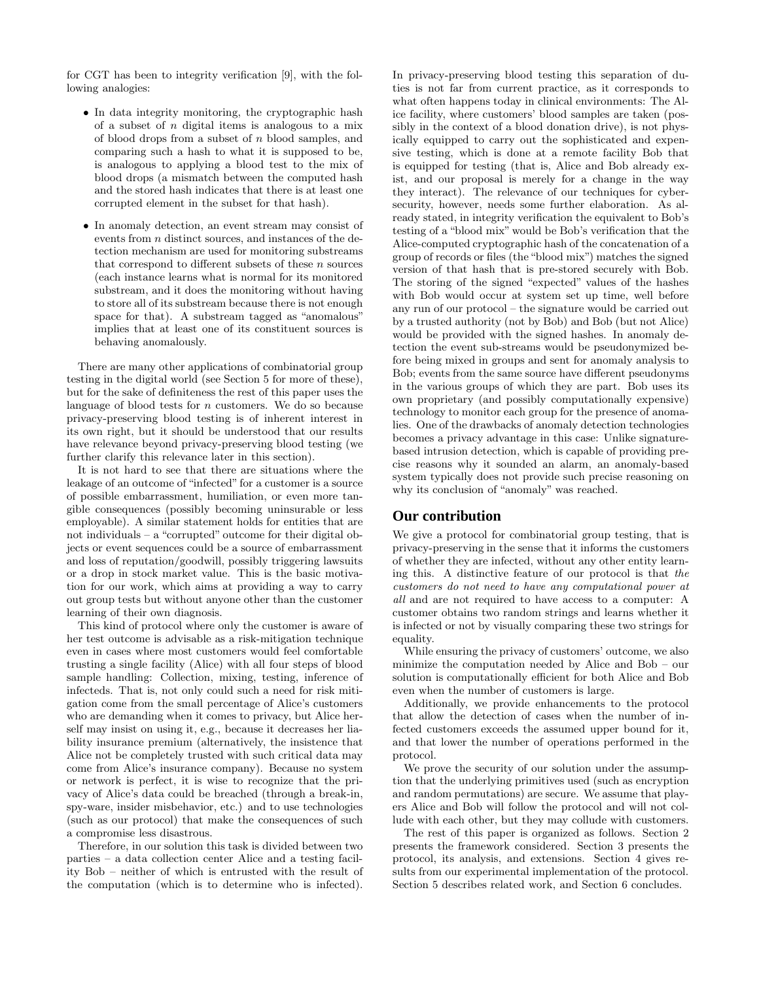for CGT has been to integrity verification [9], with the following analogies:

- In data integrity monitoring, the cryptographic hash of a subset of  $n$  digital items is analogous to a mix of blood drops from a subset of n blood samples, and comparing such a hash to what it is supposed to be, is analogous to applying a blood test to the mix of blood drops (a mismatch between the computed hash and the stored hash indicates that there is at least one corrupted element in the subset for that hash).
- In anomaly detection, an event stream may consist of events from n distinct sources, and instances of the detection mechanism are used for monitoring substreams that correspond to different subsets of these  $n$  sources (each instance learns what is normal for its monitored substream, and it does the monitoring without having to store all of its substream because there is not enough space for that). A substream tagged as "anomalous" implies that at least one of its constituent sources is behaving anomalously.

There are many other applications of combinatorial group testing in the digital world (see Section 5 for more of these), but for the sake of definiteness the rest of this paper uses the language of blood tests for n customers. We do so because privacy-preserving blood testing is of inherent interest in its own right, but it should be understood that our results have relevance beyond privacy-preserving blood testing (we further clarify this relevance later in this section).

It is not hard to see that there are situations where the leakage of an outcome of "infected" for a customer is a source of possible embarrassment, humiliation, or even more tangible consequences (possibly becoming uninsurable or less employable). A similar statement holds for entities that are not individuals – a "corrupted" outcome for their digital objects or event sequences could be a source of embarrassment and loss of reputation/goodwill, possibly triggering lawsuits or a drop in stock market value. This is the basic motivation for our work, which aims at providing a way to carry out group tests but without anyone other than the customer learning of their own diagnosis.

This kind of protocol where only the customer is aware of her test outcome is advisable as a risk-mitigation technique even in cases where most customers would feel comfortable trusting a single facility (Alice) with all four steps of blood sample handling: Collection, mixing, testing, inference of infecteds. That is, not only could such a need for risk mitigation come from the small percentage of Alice's customers who are demanding when it comes to privacy, but Alice herself may insist on using it, e.g., because it decreases her liability insurance premium (alternatively, the insistence that Alice not be completely trusted with such critical data may come from Alice's insurance company). Because no system or network is perfect, it is wise to recognize that the privacy of Alice's data could be breached (through a break-in, spy-ware, insider misbehavior, etc.) and to use technologies (such as our protocol) that make the consequences of such a compromise less disastrous.

Therefore, in our solution this task is divided between two parties – a data collection center Alice and a testing facility Bob – neither of which is entrusted with the result of the computation (which is to determine who is infected).

In privacy-preserving blood testing this separation of duties is not far from current practice, as it corresponds to what often happens today in clinical environments: The Alice facility, where customers' blood samples are taken (possibly in the context of a blood donation drive), is not physically equipped to carry out the sophisticated and expensive testing, which is done at a remote facility Bob that is equipped for testing (that is, Alice and Bob already exist, and our proposal is merely for a change in the way they interact). The relevance of our techniques for cybersecurity, however, needs some further elaboration. As already stated, in integrity verification the equivalent to Bob's testing of a "blood mix" would be Bob's verification that the Alice-computed cryptographic hash of the concatenation of a group of records or files (the "blood mix") matches the signed version of that hash that is pre-stored securely with Bob. The storing of the signed "expected" values of the hashes with Bob would occur at system set up time, well before any run of our protocol – the signature would be carried out by a trusted authority (not by Bob) and Bob (but not Alice) would be provided with the signed hashes. In anomaly detection the event sub-streams would be pseudonymized before being mixed in groups and sent for anomaly analysis to Bob; events from the same source have different pseudonyms in the various groups of which they are part. Bob uses its own proprietary (and possibly computationally expensive) technology to monitor each group for the presence of anomalies. One of the drawbacks of anomaly detection technologies becomes a privacy advantage in this case: Unlike signaturebased intrusion detection, which is capable of providing precise reasons why it sounded an alarm, an anomaly-based system typically does not provide such precise reasoning on why its conclusion of "anomaly" was reached.

# **Our contribution**

We give a protocol for combinatorial group testing, that is privacy-preserving in the sense that it informs the customers of whether they are infected, without any other entity learning this. A distinctive feature of our protocol is that the customers do not need to have any computational power at all and are not required to have access to a computer: A customer obtains two random strings and learns whether it is infected or not by visually comparing these two strings for equality.

While ensuring the privacy of customers' outcome, we also minimize the computation needed by Alice and Bob – our solution is computationally efficient for both Alice and Bob even when the number of customers is large.

Additionally, we provide enhancements to the protocol that allow the detection of cases when the number of infected customers exceeds the assumed upper bound for it, and that lower the number of operations performed in the protocol.

We prove the security of our solution under the assumption that the underlying primitives used (such as encryption and random permutations) are secure. We assume that players Alice and Bob will follow the protocol and will not collude with each other, but they may collude with customers.

The rest of this paper is organized as follows. Section 2 presents the framework considered. Section 3 presents the protocol, its analysis, and extensions. Section 4 gives results from our experimental implementation of the protocol. Section 5 describes related work, and Section 6 concludes.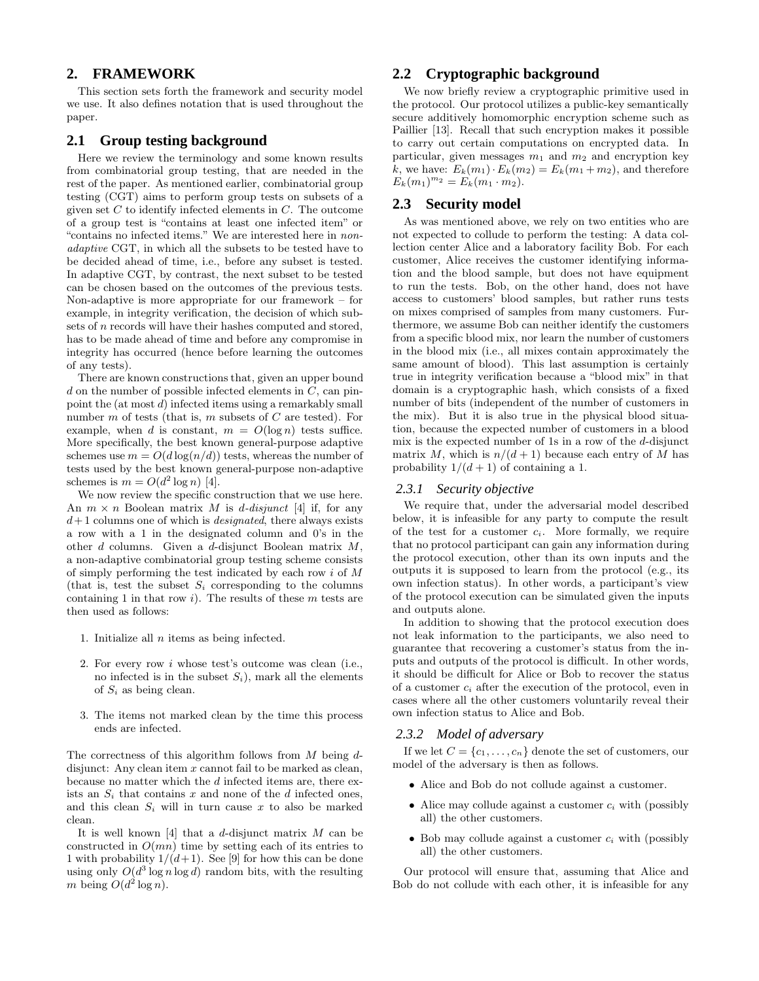# **2. FRAMEWORK**

This section sets forth the framework and security model we use. It also defines notation that is used throughout the paper.

### **2.1 Group testing background**

Here we review the terminology and some known results from combinatorial group testing, that are needed in the rest of the paper. As mentioned earlier, combinatorial group testing (CGT) aims to perform group tests on subsets of a given set  $C$  to identify infected elements in  $C$ . The outcome of a group test is "contains at least one infected item" or "contains no infected items." We are interested here in nonadaptive CGT, in which all the subsets to be tested have to be decided ahead of time, i.e., before any subset is tested. In adaptive CGT, by contrast, the next subset to be tested can be chosen based on the outcomes of the previous tests. Non-adaptive is more appropriate for our framework – for example, in integrity verification, the decision of which subsets of n records will have their hashes computed and stored, has to be made ahead of time and before any compromise in integrity has occurred (hence before learning the outcomes of any tests).

There are known constructions that, given an upper bound d on the number of possible infected elements in  $C$ , can pinpoint the (at most d) infected items using a remarkably small number  $m$  of tests (that is,  $m$  subsets of  $C$  are tested). For example, when d is constant,  $m = O(\log n)$  tests suffice. More specifically, the best known general-purpose adaptive schemes use  $m = O(d \log(n/d))$  tests, whereas the number of tests used by the best known general-purpose non-adaptive schemes is  $m = O(d^2 \log n)$  [4].

We now review the specific construction that we use here. An  $m \times n$  Boolean matrix M is d-disjunct [4] if, for any  $d+1$  columns one of which is *designated*, there always exists a row with a 1 in the designated column and 0's in the other d columns. Given a d-disjunct Boolean matrix M, a non-adaptive combinatorial group testing scheme consists of simply performing the test indicated by each row i of M (that is, test the subset  $S_i$  corresponding to the columns containing 1 in that row  $i$ ). The results of these  $m$  tests are then used as follows:

- 1. Initialize all  $n$  items as being infected.
- 2. For every row i whose test's outcome was clean (i.e., no infected is in the subset  $S_i$ ), mark all the elements of  $S_i$  as being clean.
- 3. The items not marked clean by the time this process ends are infected.

The correctness of this algorithm follows from  $M$  being  $d$ disjunct: Any clean item  $x$  cannot fail to be marked as clean, because no matter which the d infected items are, there exists an  $S_i$  that contains x and none of the d infected ones, and this clean  $S_i$  will in turn cause x to also be marked clean.

It is well known [4] that a d-disjunct matrix  $M$  can be constructed in  $O(mn)$  time by setting each of its entries to 1 with probability  $1/(d+1)$ . See [9] for how this can be done using only  $O(d^3 \log n \log d)$  random bits, with the resulting m being  $O(d^2 \log n)$ .

# **2.2 Cryptographic background**

We now briefly review a cryptographic primitive used in the protocol. Our protocol utilizes a public-key semantically secure additively homomorphic encryption scheme such as Paillier [13]. Recall that such encryption makes it possible to carry out certain computations on encrypted data. In particular, given messages  $m_1$  and  $m_2$  and encryption key k, we have:  $E_k(m_1) \cdot E_k(m_2) = E_k(m_1 + m_2)$ , and therefore  $E_k(m_1)^{m_2} = E_k(m_1 \cdot m_2).$ 

# **2.3 Security model**

As was mentioned above, we rely on two entities who are not expected to collude to perform the testing: A data collection center Alice and a laboratory facility Bob. For each customer, Alice receives the customer identifying information and the blood sample, but does not have equipment to run the tests. Bob, on the other hand, does not have access to customers' blood samples, but rather runs tests on mixes comprised of samples from many customers. Furthermore, we assume Bob can neither identify the customers from a specific blood mix, nor learn the number of customers in the blood mix (i.e., all mixes contain approximately the same amount of blood). This last assumption is certainly true in integrity verification because a "blood mix" in that domain is a cryptographic hash, which consists of a fixed number of bits (independent of the number of customers in the mix). But it is also true in the physical blood situation, because the expected number of customers in a blood mix is the expected number of 1s in a row of the d-disjunct matrix M, which is  $n/(d+1)$  because each entry of M has probability  $1/(d+1)$  of containing a 1.

#### *2.3.1 Security objective*

We require that, under the adversarial model described below, it is infeasible for any party to compute the result of the test for a customer  $c_i$ . More formally, we require that no protocol participant can gain any information during the protocol execution, other than its own inputs and the outputs it is supposed to learn from the protocol (e.g., its own infection status). In other words, a participant's view of the protocol execution can be simulated given the inputs and outputs alone.

In addition to showing that the protocol execution does not leak information to the participants, we also need to guarantee that recovering a customer's status from the inputs and outputs of the protocol is difficult. In other words, it should be difficult for Alice or Bob to recover the status of a customer  $c_i$  after the execution of the protocol, even in cases where all the other customers voluntarily reveal their own infection status to Alice and Bob.

### *2.3.2 Model of adversary*

If we let  $C = \{c_1, \ldots, c_n\}$  denote the set of customers, our model of the adversary is then as follows.

- Alice and Bob do not collude against a customer.
- Alice may collude against a customer  $c_i$  with (possibly all) the other customers.
- Bob may collude against a customer  $c_i$  with (possibly all) the other customers.

Our protocol will ensure that, assuming that Alice and Bob do not collude with each other, it is infeasible for any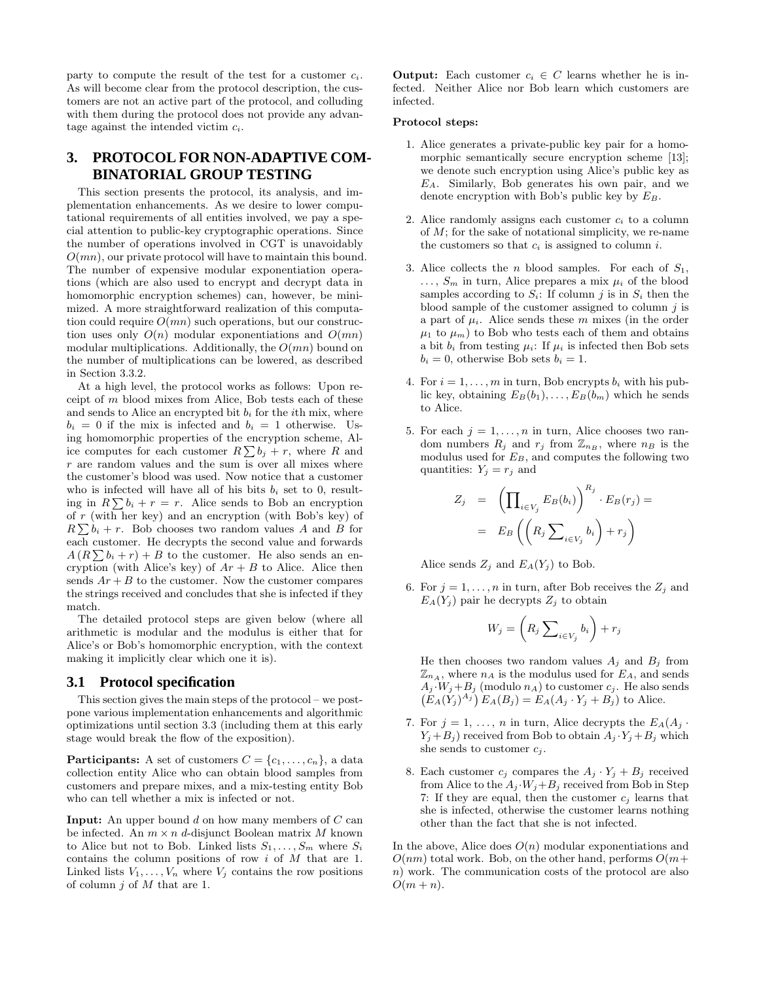party to compute the result of the test for a customer  $c_i$ . As will become clear from the protocol description, the customers are not an active part of the protocol, and colluding with them during the protocol does not provide any advantage against the intended victim  $c_i$ .

# **3. PROTOCOL FOR NON-ADAPTIVE COM-BINATORIAL GROUP TESTING**

This section presents the protocol, its analysis, and implementation enhancements. As we desire to lower computational requirements of all entities involved, we pay a special attention to public-key cryptographic operations. Since the number of operations involved in CGT is unavoidably  $O(mn)$ , our private protocol will have to maintain this bound. The number of expensive modular exponentiation operations (which are also used to encrypt and decrypt data in homomorphic encryption schemes) can, however, be minimized. A more straightforward realization of this computation could require  $O(mn)$  such operations, but our construction uses only  $O(n)$  modular exponentiations and  $O(mn)$ modular multiplications. Additionally, the  $O(mn)$  bound on the number of multiplications can be lowered, as described in Section 3.3.2.

At a high level, the protocol works as follows: Upon receipt of m blood mixes from Alice, Bob tests each of these and sends to Alice an encrypted bit  $b_i$  for the *i*th mix, where  $b_i = 0$  if the mix is infected and  $b_i = 1$  otherwise. Using homomorphic properties of the encryption scheme, Alice computes for each customer  $R\sum b_j + r$ , where R and  $r$  are random values and the sum is over all mixes where the customer's blood was used. Now notice that a customer who is infected will have all of his bits  $b_i$  set to 0, resulting in  $R\sum b_i + r = r$ . Alice sends to Bob an encryption of  $r$  (with her key) and an encryption (with Bob's key) of  $R\sum b_i + r$ . Bob chooses two random values A and B for each customer. He decrypts the second value and forwards  $A(R\sum b_i + r) + B$  to the customer. He also sends an encryption (with Alice's key) of  $Ar + B$  to Alice. Alice then sends  $Ar + B$  to the customer. Now the customer compares the strings received and concludes that she is infected if they match.

The detailed protocol steps are given below (where all arithmetic is modular and the modulus is either that for Alice's or Bob's homomorphic encryption, with the context making it implicitly clear which one it is).

#### **3.1 Protocol specification**

This section gives the main steps of the protocol – we postpone various implementation enhancements and algorithmic optimizations until section 3.3 (including them at this early stage would break the flow of the exposition).

**Participants:** A set of customers  $C = \{c_1, \ldots, c_n\}$ , a data collection entity Alice who can obtain blood samples from customers and prepare mixes, and a mix-testing entity Bob who can tell whether a mix is infected or not.

**Input:** An upper bound  $d$  on how many members of  $C$  can be infected. An  $m \times n$  d-disjunct Boolean matrix M known to Alice but not to Bob. Linked lists  $S_1, \ldots, S_m$  where  $S_i$ contains the column positions of row i of M that are 1. Linked lists  $V_1, \ldots, V_n$  where  $V_j$  contains the row positions of column  $j$  of  $M$  that are 1.

**Output:** Each customer  $c_i \in C$  learns whether he is infected. Neither Alice nor Bob learn which customers are infected.

#### Protocol steps:

- 1. Alice generates a private-public key pair for a homomorphic semantically secure encryption scheme [13]; we denote such encryption using Alice's public key as  $E_A$ . Similarly, Bob generates his own pair, and we denote encryption with Bob's public key by  $E_B$ .
- 2. Alice randomly assigns each customer  $c_i$  to a column of  $M$ ; for the sake of notational simplicity, we re-name the customers so that  $c_i$  is assigned to column i.
- 3. Alice collects the *n* blood samples. For each of  $S_1$ ,  $\ldots$ ,  $S_m$  in turn, Alice prepares a mix  $\mu_i$  of the blood samples according to  $S_i$ : If column j is in  $S_i$  then the blood sample of the customer assigned to column  $j$  is a part of  $\mu_i$ . Alice sends these m mixes (in the order  $\mu_1$  to  $\mu_m$ ) to Bob who tests each of them and obtains a bit  $b_i$  from testing  $\mu_i$ : If  $\mu_i$  is infected then Bob sets  $b_i = 0$ , otherwise Bob sets  $b_i = 1$ .
- 4. For  $i = 1, \ldots, m$  in turn, Bob encrypts  $b_i$  with his public key, obtaining  $E_B(b_1), \ldots, E_B(b_m)$  which he sends to Alice.
- 5. For each  $j = 1, \ldots, n$  in turn, Alice chooses two random numbers  $R_j$  and  $r_j$  from  $\mathbb{Z}_{n_B}$ , where  $n_B$  is the modulus used for  $E_B$ , and computes the following two quantities:  $Y_j = r_j$  and

$$
Z_j = \left(\prod_{i \in V_j} E_B(b_i)\right)^{R_j} \cdot E_B(r_j) =
$$

$$
= E_B\left(\left(R_j \sum_{i \in V_j} b_i\right) + r_j\right)
$$

Alice sends  $Z_j$  and  $E_A(Y_j)$  to Bob.

6. For  $j = 1, \ldots, n$  in turn, after Bob receives the  $Z_j$  and  $E_A(Y_i)$  pair he decrypts  $Z_i$  to obtain

$$
W_j = \left(R_j \sum\nolimits_{i \in V_j} b_i\right) + r_j
$$

He then chooses two random values  $A_j$  and  $B_j$  from  $\mathbb{Z}_{n_A}$ , where  $n_A$  is the modulus used for  $E_A$ , and sends  $A_j \cdot W_j + B_j \pmod{n_A}$  to customer  $c_j$ . He also sends  $(E_A(Y_j)^{A_j}) E_A(B_j) = E_A(A_j \cdot Y_j + B_j)$  to Alice.

- 7. For  $j = 1, \ldots, n$  in turn, Alice decrypts the  $E_A(A_i \cdot$  $Y_i + B_j$  received from Bob to obtain  $A_i \cdot Y_i + B_j$  which she sends to customer  $c_j$ .
- 8. Each customer  $c_j$  compares the  $A_j \cdot Y_j + B_j$  received from Alice to the  $A_j \cdot W_j + B_j$  received from Bob in Step 7: If they are equal, then the customer  $c_i$  learns that she is infected, otherwise the customer learns nothing other than the fact that she is not infected.

In the above, Alice does  $O(n)$  modular exponentiations and  $O(nm)$  total work. Bob, on the other hand, performs  $O(m+)$ n) work. The communication costs of the protocol are also  $O(m+n)$ .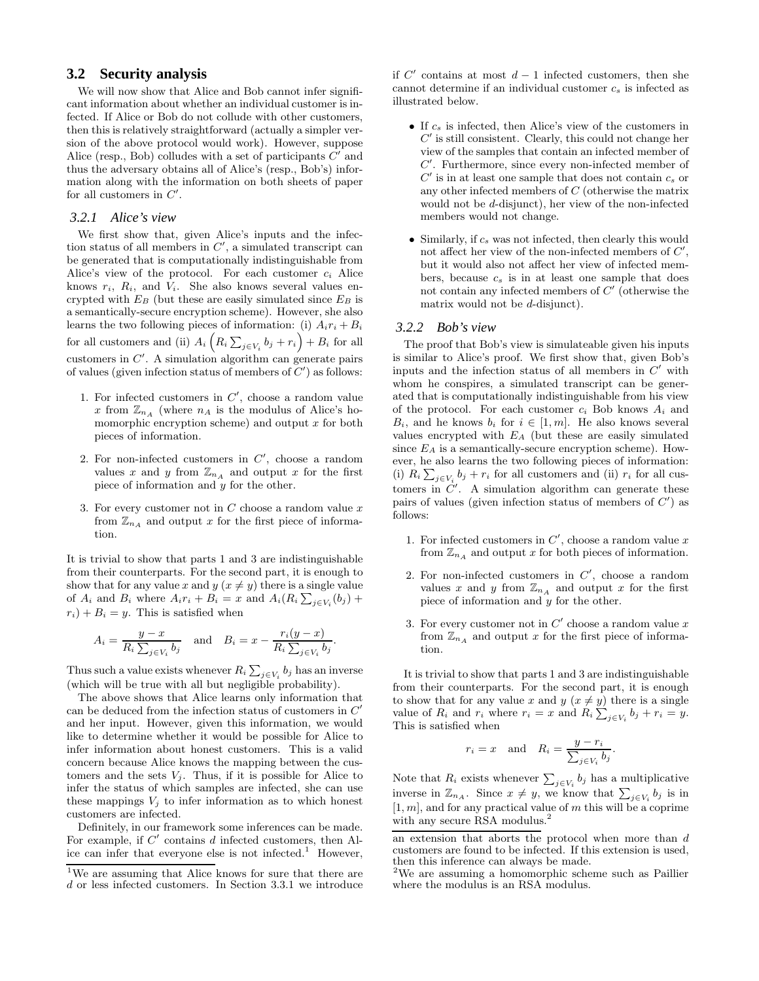# **3.2 Security analysis**

We will now show that Alice and Bob cannot infer significant information about whether an individual customer is infected. If Alice or Bob do not collude with other customers, then this is relatively straightforward (actually a simpler version of the above protocol would work). However, suppose Alice (resp., Bob) colludes with a set of participants  $C'$  and thus the adversary obtains all of Alice's (resp., Bob's) information along with the information on both sheets of paper for all customers in  $C'$ .

#### *3.2.1 Alice's view*

We first show that, given Alice's inputs and the infection status of all members in  $C'$ , a simulated transcript can be generated that is computationally indistinguishable from Alice's view of the protocol. For each customer  $c_i$  Alice knows  $r_i$ ,  $R_i$ , and  $V_i$ . She also knows several values encrypted with  $E_B$  (but these are easily simulated since  $E_B$  is a semantically-secure encryption scheme). However, she also learns the two following pieces of information: (i)  $A_i r_i + B_i$ for all customers and (ii)  $A_i\left(R_i\sum_{j\in V_i}b_j+r_i\right)+B_i$  for all customers in  $C'$ . A simulation algorithm can generate pairs of values (given infection status of members of  $C'$ ) as follows:

- 1. For infected customers in  $C'$ , choose a random value x from  $\mathbb{Z}_{n_A}$  (where  $n_A$  is the modulus of Alice's homomorphic encryption scheme) and output  $x$  for both pieces of information.
- 2. For non-infected customers in  $C'$ , choose a random values x and y from  $\mathbb{Z}_{n_A}$  and output x for the first piece of information and  $\hat{y}$  for the other.
- 3. For every customer not in  $C$  choose a random value  $x$ from  $\mathbb{Z}_{n_A}$  and output x for the first piece of information.

It is trivial to show that parts 1 and 3 are indistinguishable from their counterparts. For the second part, it is enough to show that for any value x and  $y(x \neq y)$  there is a single value of  $A_i$  and  $B_i$  where  $A_i r_i + B_i = x$  and  $A_i (R_i \sum_{j \in V_i} (b_j) +$  $r_i$ ) +  $B_i = y$ . This is satisfied when

$$
A_i = \frac{y - x}{R_i \sum_{j \in V_i} b_j} \quad \text{and} \quad B_i = x - \frac{r_i (y - x)}{R_i \sum_{j \in V_i} b_j}.
$$

Thus such a value exists whenever  $R_i \sum_{j \in V_i} b_j$  has an inverse (which will be true with all but negligible probability).

The above shows that Alice learns only information that can be deduced from the infection status of customers in  $C'$ and her input. However, given this information, we would like to determine whether it would be possible for Alice to infer information about honest customers. This is a valid concern because Alice knows the mapping between the customers and the sets  $V_j$ . Thus, if it is possible for Alice to infer the status of which samples are infected, she can use these mappings  $V_i$  to infer information as to which honest customers are infected.

Definitely, in our framework some inferences can be made. For example, if  $C'$  contains  $d$  infected customers, then Alice can infer that everyone else is not infected.<sup>1</sup> However,

if  $C'$  contains at most  $d-1$  infected customers, then she cannot determine if an individual customer  $c_s$  is infected as illustrated below.

- If  $c_s$  is infected, then Alice's view of the customers in  $C'$  is still consistent. Clearly, this could not change her view of the samples that contain an infected member of  $C'$ . Furthermore, since every non-infected member of  $C'$  is in at least one sample that does not contain  $c_s$  or any other infected members of  $C$  (otherwise the matrix would not be d-disjunct), her view of the non-infected members would not change.
- Similarly, if  $c_s$  was not infected, then clearly this would not affect her view of the non-infected members of  $C'$ , but it would also not affect her view of infected members, because  $c_s$  is in at least one sample that does not contain any infected members of  $C'$  (otherwise the matrix would not be d-disjunct).

#### *3.2.2 Bob's view*

The proof that Bob's view is simulateable given his inputs is similar to Alice's proof. We first show that, given Bob's inputs and the infection status of all members in  $C'$  with whom he conspires, a simulated transcript can be generated that is computationally indistinguishable from his view of the protocol. For each customer  $c_i$  Bob knows  $A_i$  and  $B_i$ , and he knows  $b_i$  for  $i \in [1, m]$ . He also knows several values encrypted with  $E_A$  (but these are easily simulated since  $E_A$  is a semantically-secure encryption scheme). However, he also learns the two following pieces of information: (i)  $R_i \sum_{j \in V_i} b_j + r_i$  for all customers and (ii)  $r_i$  for all customers in  $\check{C}'$ . A simulation algorithm can generate these pairs of values (given infection status of members of  $C'$ ) as follows:

- 1. For infected customers in  $C'$ , choose a random value  $x$ from  $\mathbb{Z}_{n_A}$  and output x for both pieces of information.
- 2. For non-infected customers in  $C'$ , choose a random values x and y from  $\mathbb{Z}_{n_A}$  and output x for the first piece of information and y for the other.
- 3. For every customer not in  $C'$  choose a random value  $x$ from  $\mathbb{Z}_{n_A}$  and output x for the first piece of information.

It is trivial to show that parts 1 and 3 are indistinguishable from their counterparts. For the second part, it is enough to show that for any value x and  $y(x \neq y)$  there is a single value of  $R_i$  and  $r_i$  where  $r_i = x$  and  $R_i \sum_{j \in V_i} b_j + r_i = y$ . This is satisfied when

$$
r_i = x
$$
 and  $R_i = \frac{y - r_i}{\sum_{j \in V_i} b_j}$ .

Note that  $R_i$  exists whenever  $\sum_{j \in V_i} b_j$  has a multiplicative inverse in  $\mathbb{Z}_{n_A}$ . Since  $x \neq y$ , we know that  $\sum_{j \in V_i} b_j$  is in  $[1, m]$ , and for any practical value of m this will be a coprime with any secure RSA modulus.<sup>2</sup>

<sup>1</sup>We are assuming that Alice knows for sure that there are  $d$  or less infected customers. In Section 3.3.1 we introduce

an extension that aborts the protocol when more than d customers are found to be infected. If this extension is used, then this inference can always be made.

<sup>2</sup>We are assuming a homomorphic scheme such as Paillier where the modulus is an RSA modulus.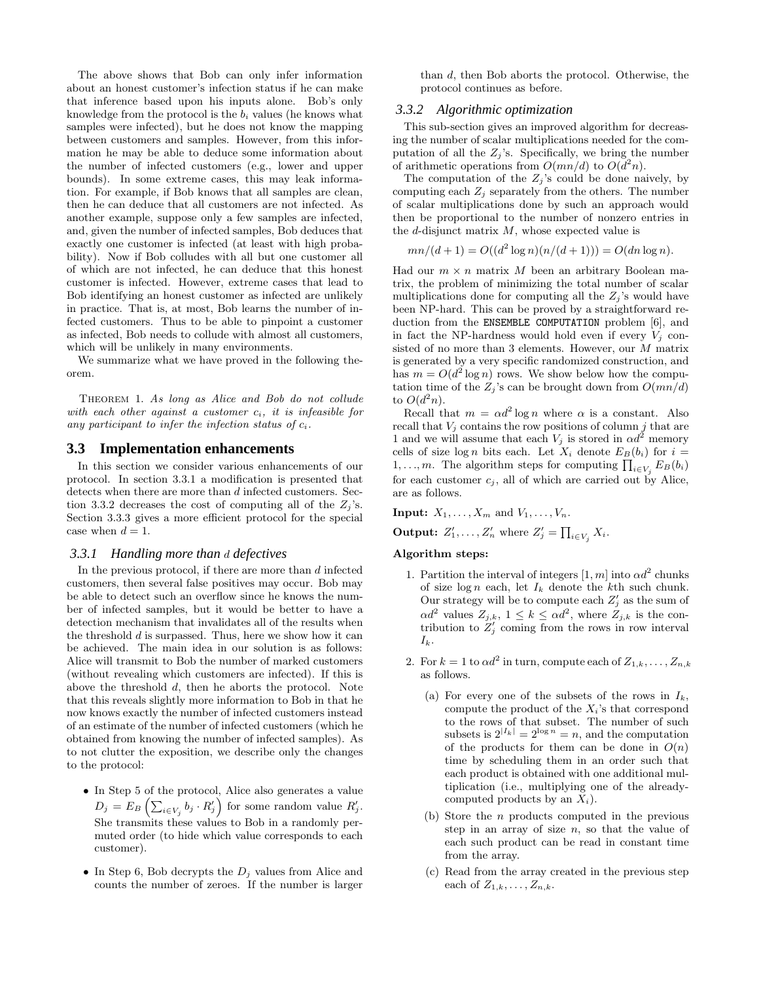The above shows that Bob can only infer information about an honest customer's infection status if he can make that inference based upon his inputs alone. Bob's only knowledge from the protocol is the  $b_i$  values (he knows what samples were infected), but he does not know the mapping between customers and samples. However, from this information he may be able to deduce some information about the number of infected customers (e.g., lower and upper bounds). In some extreme cases, this may leak information. For example, if Bob knows that all samples are clean, then he can deduce that all customers are not infected. As another example, suppose only a few samples are infected, and, given the number of infected samples, Bob deduces that exactly one customer is infected (at least with high probability). Now if Bob colludes with all but one customer all of which are not infected, he can deduce that this honest customer is infected. However, extreme cases that lead to Bob identifying an honest customer as infected are unlikely in practice. That is, at most, Bob learns the number of infected customers. Thus to be able to pinpoint a customer as infected, Bob needs to collude with almost all customers, which will be unlikely in many environments.

We summarize what we have proved in the following theorem.

Theorem 1. As long as Alice and Bob do not collude with each other against a customer  $c_i$ , it is infeasible for any participant to infer the infection status of  $c_i$ .

### **3.3 Implementation enhancements**

In this section we consider various enhancements of our protocol. In section 3.3.1 a modification is presented that detects when there are more than d infected customers. Section 3.3.2 decreases the cost of computing all of the  $Z_j$ 's. Section 3.3.3 gives a more efficient protocol for the special case when  $d = 1$ .

#### *3.3.1 Handling more than* d *defectives*

In the previous protocol, if there are more than  $d$  infected customers, then several false positives may occur. Bob may be able to detect such an overflow since he knows the number of infected samples, but it would be better to have a detection mechanism that invalidates all of the results when the threshold  $d$  is surpassed. Thus, here we show how it can be achieved. The main idea in our solution is as follows: Alice will transmit to Bob the number of marked customers (without revealing which customers are infected). If this is above the threshold d, then he aborts the protocol. Note that this reveals slightly more information to Bob in that he now knows exactly the number of infected customers instead of an estimate of the number of infected customers (which he obtained from knowing the number of infected samples). As to not clutter the exposition, we describe only the changes to the protocol:

- In Step 5 of the protocol, Alice also generates a value  $D_j = E_B \left( \sum_{i \in V_j} b_j \cdot R'_j \right)$  for some random value  $R'_j$ . She transmits these values to Bob in a randomly permuted order (to hide which value corresponds to each customer).
- In Step 6, Bob decrypts the  $D_j$  values from Alice and counts the number of zeroes. If the number is larger

than d, then Bob aborts the protocol. Otherwise, the protocol continues as before.

#### *3.3.2 Algorithmic optimization*

This sub-section gives an improved algorithm for decreasing the number of scalar multiplications needed for the computation of all the  $Z_i$ 's. Specifically, we bring the number of arithmetic operations from  $O(mn/d)$  to  $O(d^2n)$ .

The computation of the  $Z_i$ 's could be done naively, by computing each  $Z_i$  separately from the others. The number of scalar multiplications done by such an approach would then be proportional to the number of nonzero entries in the  $d$ -disjunct matrix  $M$ , whose expected value is

$$
mn/(d+1) = O((d^2 \log n)(n/(d+1))) = O(dn \log n).
$$

Had our  $m \times n$  matrix M been an arbitrary Boolean matrix, the problem of minimizing the total number of scalar multiplications done for computing all the  $Z_i$ 's would have been NP-hard. This can be proved by a straightforward reduction from the ENSEMBLE COMPUTATION problem [6], and in fact the NP-hardness would hold even if every  $V_i$  consisted of no more than 3 elements. However, our M matrix is generated by a very specific randomized construction, and has  $m = O(d^2 \log n)$  rows. We show below how the computation time of the  $Z_j$ 's can be brought down from  $O(mn/d)$ to  $O(d^2n)$ .

Recall that  $m = \alpha d^2 \log n$  where  $\alpha$  is a constant. Also recall that  $V_j$  contains the row positions of column j that are 1 and we will assume that each  $V_j$  is stored in  $\alpha d^2$  memory cells of size log n bits each. Let  $X_i$  denote  $E_B(b_i)$  for  $i =$ 1, ..., m. The algorithm steps for computing  $\prod_{i \in V_j} E_B(b_i)$ for each customer  $c_j$ , all of which are carried out by Alice, are as follows.

**Input:**  $X_1, \ldots, X_m$  and  $V_1, \ldots, V_n$ .

**Output:**  $Z'_1, \ldots, Z'_n$  where  $Z'_j = \prod_{i \in V_j} X_i$ .

#### Algorithm steps:

- 1. Partition the interval of integers  $[1, m]$  into  $\alpha d^2$  chunks of size  $\log n$  each, let  $I_k$  denote the kth such chunk. Our strategy will be to compute each  $Z'_{j}$  as the sum of  $\alpha d^2$  values  $Z_{j,k}$ ,  $1 \leq k \leq \alpha d^2$ , where  $Z_{j,k}$  is the contribution to  $Z'_{j}$  coming from the rows in row interval  $I_k$ .
- 2. For  $k = 1$  to  $\alpha d^2$  in turn, compute each of  $Z_{1,k}, \ldots, Z_{n,k}$ as follows.
	- (a) For every one of the subsets of the rows in  $I_k$ , compute the product of the  $X_i$ 's that correspond to the rows of that subset. The number of such subsets is  $2^{|I_k|} = 2^{\log n} = n$ , and the computation of the products for them can be done in  $O(n)$ time by scheduling them in an order such that each product is obtained with one additional multiplication (i.e., multiplying one of the alreadycomputed products by an  $X_i$ ).
	- (b) Store the  $n$  products computed in the previous step in an array of size  $n$ , so that the value of each such product can be read in constant time from the array.
	- (c) Read from the array created in the previous step each of  $Z_{1,k}, \ldots, Z_{n,k}$ .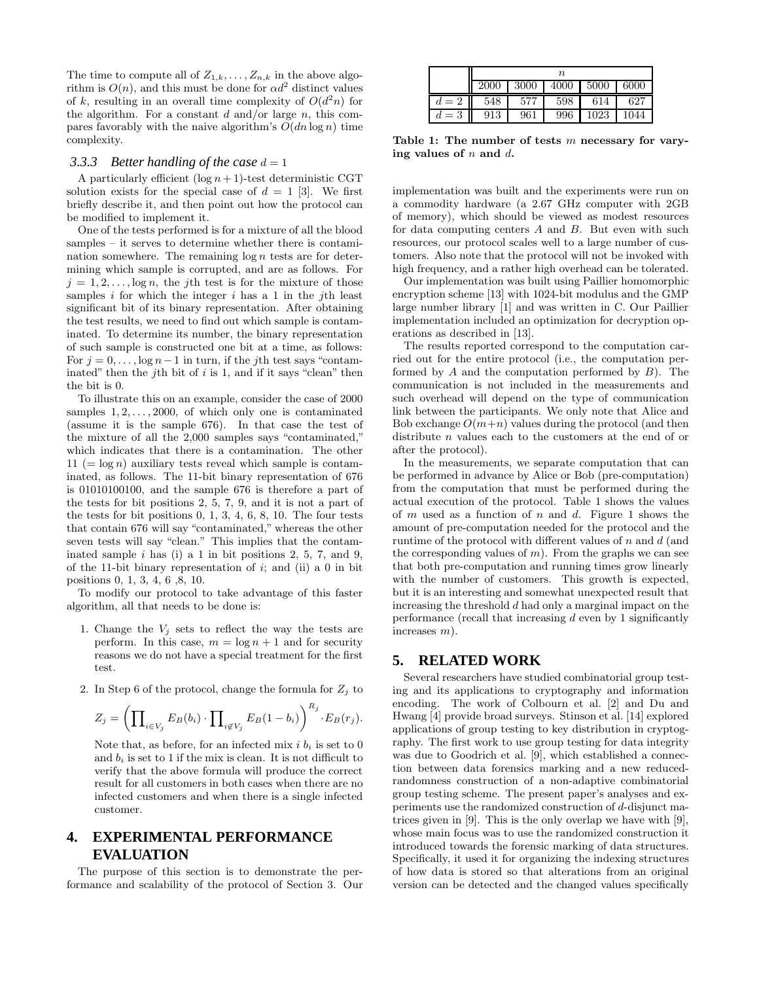The time to compute all of  $Z_{1,k}, \ldots, Z_{n,k}$  in the above algorithm is  $O(n)$ , and this must be done for  $\alpha d^2$  distinct values of k, resulting in an overall time complexity of  $O(d^2n)$  for the algorithm. For a constant  $d$  and/or large  $n$ , this compares favorably with the naive algorithm's  $O(dn \log n)$  time complexity.

#### 3.3.3 Better handling of the case  $d = 1$

A particularly efficient  $(\log n + 1)$ -test deterministic CGT solution exists for the special case of  $d = 1$  [3]. We first briefly describe it, and then point out how the protocol can be modified to implement it.

One of the tests performed is for a mixture of all the blood samples – it serves to determine whether there is contamination somewhere. The remaining  $\log n$  tests are for determining which sample is corrupted, and are as follows. For  $j = 1, 2, \ldots, \log n$ , the j<sup>th</sup> test is for the mixture of those samples i for which the integer i has a 1 in the jth least significant bit of its binary representation. After obtaining the test results, we need to find out which sample is contaminated. To determine its number, the binary representation of such sample is constructed one bit at a time, as follows: For  $j = 0, \ldots, \log n - 1$  in turn, if the jth test says "contaminated" then the j<sup>th</sup> bit of  $i$  is 1, and if it says "clean" then the bit is 0.

To illustrate this on an example, consider the case of 2000 samples  $1, 2, \ldots, 2000$ , of which only one is contaminated (assume it is the sample 676). In that case the test of the mixture of all the 2,000 samples says "contaminated," which indicates that there is a contamination. The other 11 (=  $\log n$ ) auxiliary tests reveal which sample is contaminated, as follows. The 11-bit binary representation of 676 is 01010100100, and the sample 676 is therefore a part of the tests for bit positions 2, 5, 7, 9, and it is not a part of the tests for bit positions 0, 1, 3, 4, 6, 8, 10. The four tests that contain 676 will say "contaminated," whereas the other seven tests will say "clean." This implies that the contaminated sample  $i$  has (i) a 1 in bit positions 2, 5, 7, and 9, of the 11-bit binary representation of  $i$ ; and (ii) a 0 in bit positions 0, 1, 3, 4, 6 ,8, 10.

To modify our protocol to take advantage of this faster algorithm, all that needs to be done is:

- 1. Change the  $V_j$  sets to reflect the way the tests are perform. In this case,  $m = \log n + 1$  and for security reasons we do not have a special treatment for the first test.
- 2. In Step 6 of the protocol, change the formula for  $Z_j$  to

$$
Z_j = \left(\prod\nolimits_{i \in V_j} E_B(b_i) \cdot \prod\nolimits_{i \notin V_j} E_B(1-b_i)\right)^{R_j} \cdot E_B(r_j).
$$

Note that, as before, for an infected mix  $i, b_i$  is set to 0 and  $b_i$  is set to 1 if the mix is clean. It is not difficult to verify that the above formula will produce the correct result for all customers in both cases when there are no infected customers and when there is a single infected customer.

# **4. EXPERIMENTAL PERFORMANCE EVALUATION**

The purpose of this section is to demonstrate the performance and scalability of the protocol of Section 3. Our

|      | $\,n$             |      |      |      |      |
|------|-------------------|------|------|------|------|
|      | $200\overline{0}$ | 3000 | 4000 | 5000 | 6000 |
| $=2$ | 548               | 577  | 598  | 614  | 627  |
| $=3$ | 913               | 961  | 996  | 1023 | 1044 |

Table 1: The number of tests  $m$  necessary for varying values of  $n$  and  $d$ .

implementation was built and the experiments were run on a commodity hardware (a 2.67 GHz computer with 2GB of memory), which should be viewed as modest resources for data computing centers  $A$  and  $B$ . But even with such resources, our protocol scales well to a large number of customers. Also note that the protocol will not be invoked with high frequency, and a rather high overhead can be tolerated.

Our implementation was built using Paillier homomorphic encryption scheme [13] with 1024-bit modulus and the GMP large number library [1] and was written in C. Our Paillier implementation included an optimization for decryption operations as described in [13].

The results reported correspond to the computation carried out for the entire protocol (i.e., the computation performed by  $A$  and the computation performed by  $B$ ). The communication is not included in the measurements and such overhead will depend on the type of communication link between the participants. We only note that Alice and Bob exchange  $O(m+n)$  values during the protocol (and then distribute *n* values each to the customers at the end of or after the protocol).

In the measurements, we separate computation that can be performed in advance by Alice or Bob (pre-computation) from the computation that must be performed during the actual execution of the protocol. Table 1 shows the values of  $m$  used as a function of  $n$  and  $d$ . Figure 1 shows the amount of pre-computation needed for the protocol and the runtime of the protocol with different values of  $n$  and  $d$  (and the corresponding values of  $m$ ). From the graphs we can see that both pre-computation and running times grow linearly with the number of customers. This growth is expected, but it is an interesting and somewhat unexpected result that increasing the threshold d had only a marginal impact on the performance (recall that increasing  $d$  even by 1 significantly increases m).

### **5. RELATED WORK**

Several researchers have studied combinatorial group testing and its applications to cryptography and information encoding. The work of Colbourn et al. [2] and Du and Hwang [4] provide broad surveys. Stinson et al. [14] explored applications of group testing to key distribution in cryptography. The first work to use group testing for data integrity was due to Goodrich et al. [9], which established a connection between data forensics marking and a new reducedrandomness construction of a non-adaptive combinatorial group testing scheme. The present paper's analyses and experiments use the randomized construction of d-disjunct matrices given in [9]. This is the only overlap we have with [9], whose main focus was to use the randomized construction it introduced towards the forensic marking of data structures. Specifically, it used it for organizing the indexing structures of how data is stored so that alterations from an original version can be detected and the changed values specifically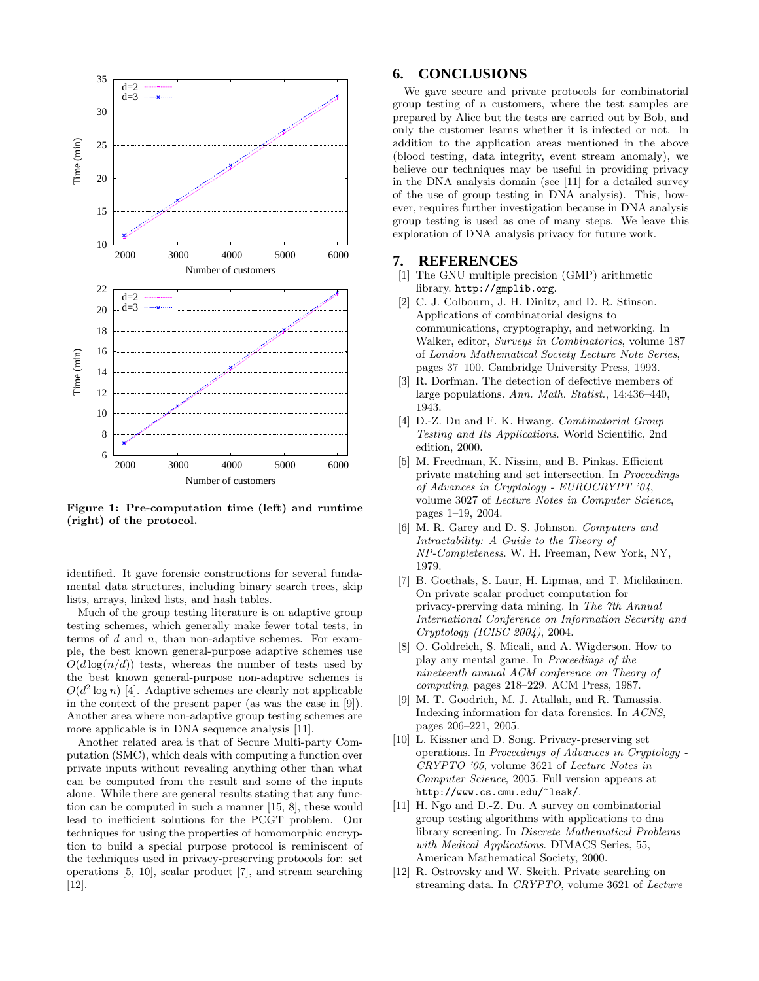

Figure 1: Pre-computation time (left) and runtime (right) of the protocol.

identified. It gave forensic constructions for several fundamental data structures, including binary search trees, skip lists, arrays, linked lists, and hash tables.

Much of the group testing literature is on adaptive group testing schemes, which generally make fewer total tests, in terms of  $d$  and  $n$ , than non-adaptive schemes. For example, the best known general-purpose adaptive schemes use  $O(d \log(n/d))$  tests, whereas the number of tests used by the best known general-purpose non-adaptive schemes is  $O(d^2 \log n)$  [4]. Adaptive schemes are clearly not applicable in the context of the present paper (as was the case in [9]). Another area where non-adaptive group testing schemes are more applicable is in DNA sequence analysis [11].

Another related area is that of Secure Multi-party Computation (SMC), which deals with computing a function over private inputs without revealing anything other than what can be computed from the result and some of the inputs alone. While there are general results stating that any function can be computed in such a manner [15, 8], these would lead to inefficient solutions for the PCGT problem. Our techniques for using the properties of homomorphic encryption to build a special purpose protocol is reminiscent of the techniques used in privacy-preserving protocols for: set operations [5, 10], scalar product [7], and stream searching [12].

# **6. CONCLUSIONS**

We gave secure and private protocols for combinatorial group testing of n customers, where the test samples are prepared by Alice but the tests are carried out by Bob, and only the customer learns whether it is infected or not. In addition to the application areas mentioned in the above (blood testing, data integrity, event stream anomaly), we believe our techniques may be useful in providing privacy in the DNA analysis domain (see [11] for a detailed survey of the use of group testing in DNA analysis). This, however, requires further investigation because in DNA analysis group testing is used as one of many steps. We leave this exploration of DNA analysis privacy for future work.

### **7. REFERENCES**

- [1] The GNU multiple precision (GMP) arithmetic library. http://gmplib.org.
- [2] C. J. Colbourn, J. H. Dinitz, and D. R. Stinson. Applications of combinatorial designs to communications, cryptography, and networking. In Walker, editor, Surveys in Combinatorics, volume 187 of London Mathematical Society Lecture Note Series, pages 37–100. Cambridge University Press, 1993.
- [3] R. Dorfman. The detection of defective members of large populations. Ann. Math. Statist., 14:436–440, 1943.
- [4] D.-Z. Du and F. K. Hwang. Combinatorial Group Testing and Its Applications. World Scientific, 2nd edition, 2000.
- [5] M. Freedman, K. Nissim, and B. Pinkas. Efficient private matching and set intersection. In Proceedings of Advances in Cryptology - EUROCRYPT '04, volume 3027 of Lecture Notes in Computer Science, pages 1–19, 2004.
- [6] M. R. Garey and D. S. Johnson. Computers and Intractability: A Guide to the Theory of NP-Completeness. W. H. Freeman, New York, NY, 1979.
- [7] B. Goethals, S. Laur, H. Lipmaa, and T. Mielikainen. On private scalar product computation for privacy-prerving data mining. In The 7th Annual International Conference on Information Security and Cryptology (ICISC 2004), 2004.
- [8] O. Goldreich, S. Micali, and A. Wigderson. How to play any mental game. In Proceedings of the nineteenth annual ACM conference on Theory of computing, pages 218–229. ACM Press, 1987.
- M. T. Goodrich, M. J. Atallah, and R. Tamassia. Indexing information for data forensics. In ACNS, pages 206–221, 2005.
- [10] L. Kissner and D. Song. Privacy-preserving set operations. In Proceedings of Advances in Cryptology - CRYPTO '05, volume 3621 of Lecture Notes in Computer Science, 2005. Full version appears at http://www.cs.cmu.edu/~leak/.
- [11] H. Ngo and D.-Z. Du. A survey on combinatorial group testing algorithms with applications to dna library screening. In Discrete Mathematical Problems with Medical Applications. DIMACS Series, 55, American Mathematical Society, 2000.
- [12] R. Ostrovsky and W. Skeith. Private searching on streaming data. In CRYPTO, volume 3621 of Lecture